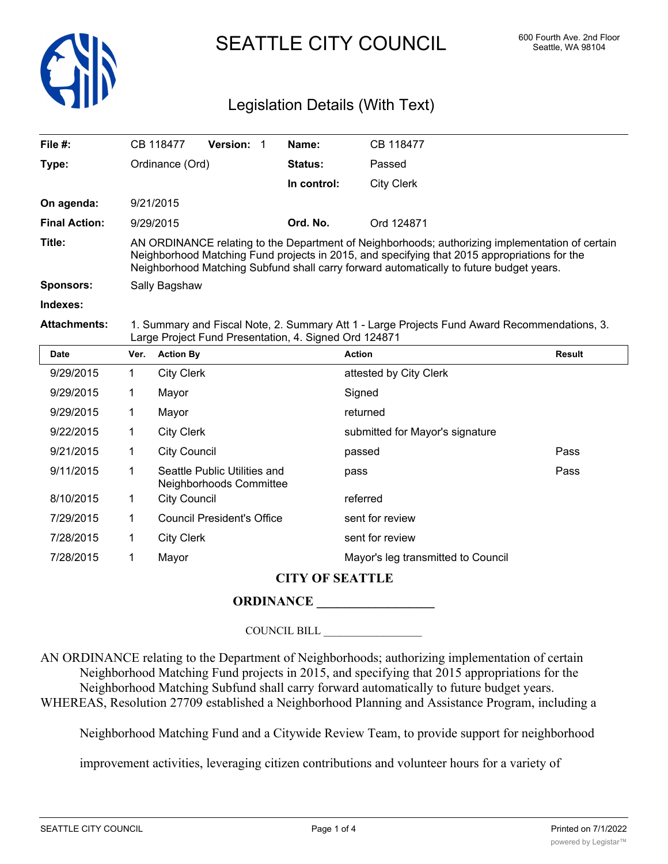

# SEATTLE CITY COUNCIL 600 Fourth Ave. 2nd Floor

## Legislation Details (With Text)

| File $#$ :           |             | CB 118477           | Version: 1                                              | Name:          | CB 118477                                                                                                                                                                                                                                                                                  |               |
|----------------------|-------------|---------------------|---------------------------------------------------------|----------------|--------------------------------------------------------------------------------------------------------------------------------------------------------------------------------------------------------------------------------------------------------------------------------------------|---------------|
| Type:                |             | Ordinance (Ord)     |                                                         | <b>Status:</b> | Passed                                                                                                                                                                                                                                                                                     |               |
|                      |             |                     |                                                         | In control:    | <b>City Clerk</b>                                                                                                                                                                                                                                                                          |               |
| On agenda:           |             | 9/21/2015           |                                                         |                |                                                                                                                                                                                                                                                                                            |               |
| <b>Final Action:</b> |             | 9/29/2015           |                                                         | Ord. No.       | Ord 124871                                                                                                                                                                                                                                                                                 |               |
| Title:               |             |                     |                                                         |                | AN ORDINANCE relating to the Department of Neighborhoods; authorizing implementation of certain<br>Neighborhood Matching Fund projects in 2015, and specifying that 2015 appropriations for the<br>Neighborhood Matching Subfund shall carry forward automatically to future budget years. |               |
| <b>Sponsors:</b>     |             | Sally Bagshaw       |                                                         |                |                                                                                                                                                                                                                                                                                            |               |
| Indexes:             |             |                     |                                                         |                |                                                                                                                                                                                                                                                                                            |               |
| <b>Attachments:</b>  |             |                     | Large Project Fund Presentation, 4. Signed Ord 124871   |                | 1. Summary and Fiscal Note, 2. Summary Att 1 - Large Projects Fund Award Recommendations, 3.                                                                                                                                                                                               |               |
| <b>Date</b>          | Ver.        | <b>Action By</b>    |                                                         |                | <b>Action</b>                                                                                                                                                                                                                                                                              | <b>Result</b> |
| 9/29/2015            | $\mathbf 1$ | <b>City Clerk</b>   |                                                         |                | attested by City Clerk                                                                                                                                                                                                                                                                     |               |
| 9/29/2015            | 1.          | Mayor               |                                                         |                | Signed                                                                                                                                                                                                                                                                                     |               |
| 9/29/2015            | 1.          | Mayor               |                                                         |                | returned                                                                                                                                                                                                                                                                                   |               |
| 9/22/2015            | 1           | <b>City Clerk</b>   |                                                         |                | submitted for Mayor's signature                                                                                                                                                                                                                                                            |               |
| 9/21/2015            | 1           | <b>City Council</b> |                                                         |                | passed                                                                                                                                                                                                                                                                                     | Pass          |
| 9/11/2015            | 1           |                     | Seattle Public Utilities and<br>Neighborhoods Committee |                | pass                                                                                                                                                                                                                                                                                       | Pass          |
| 8/10/2015            | 1           | <b>City Council</b> |                                                         |                | referred                                                                                                                                                                                                                                                                                   |               |

|           |                | Neighborhoods Committee    |                                    |
|-----------|----------------|----------------------------|------------------------------------|
| 8/10/2015 | $\overline{1}$ | City Council               | referred                           |
| 7/29/2015 | $\overline{1}$ | Council President's Office | sent for review                    |
| 7/28/2015 | $\sim$ 1       | City Clerk                 | sent for review                    |
| 7/28/2015 |                | Mayor                      | Mayor's leg transmitted to Council |

#### **CITY OF SEATTLE**

### **ORDINANCE \_\_\_\_\_\_\_\_\_\_\_\_\_\_\_\_\_\_**

COUNCIL BILL \_\_\_\_\_\_\_\_\_\_\_\_\_\_\_\_\_\_

AN ORDINANCE relating to the Department of Neighborhoods; authorizing implementation of certain Neighborhood Matching Fund projects in 2015, and specifying that 2015 appropriations for the Neighborhood Matching Subfund shall carry forward automatically to future budget years. WHEREAS, Resolution 27709 established a Neighborhood Planning and Assistance Program, including a

Neighborhood Matching Fund and a Citywide Review Team, to provide support for neighborhood

improvement activities, leveraging citizen contributions and volunteer hours for a variety of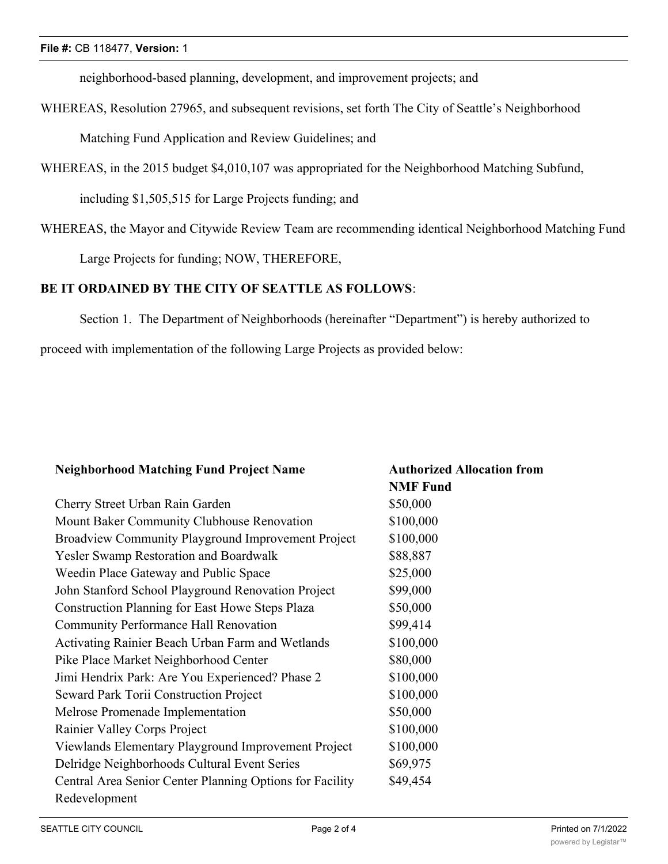neighborhood-based planning, development, and improvement projects; and

WHEREAS, Resolution 27965, and subsequent revisions, set forth The City of Seattle's Neighborhood Matching Fund Application and Review Guidelines; and

WHEREAS, in the 2015 budget \$4,010,107 was appropriated for the Neighborhood Matching Subfund,

including \$1,505,515 for Large Projects funding; and

WHEREAS, the Mayor and Citywide Review Team are recommending identical Neighborhood Matching Fund

Large Projects for funding; NOW, THEREFORE,

#### **BE IT ORDAINED BY THE CITY OF SEATTLE AS FOLLOWS**:

Section 1. The Department of Neighborhoods (hereinafter "Department") is hereby authorized to

proceed with implementation of the following Large Projects as provided below:

| <b>Neighborhood Matching Fund Project Name</b>           | <b>Authorized Allocation from</b> |
|----------------------------------------------------------|-----------------------------------|
|                                                          | <b>NMF</b> Fund                   |
| Cherry Street Urban Rain Garden                          | \$50,000                          |
| Mount Baker Community Clubhouse Renovation               | \$100,000                         |
| Broadview Community Playground Improvement Project       | \$100,000                         |
| Yesler Swamp Restoration and Boardwalk                   | \$88,887                          |
| Weedin Place Gateway and Public Space                    | \$25,000                          |
| John Stanford School Playground Renovation Project       | \$99,000                          |
| Construction Planning for East Howe Steps Plaza          | \$50,000                          |
| <b>Community Performance Hall Renovation</b>             | \$99,414                          |
| Activating Rainier Beach Urban Farm and Wetlands         | \$100,000                         |
| Pike Place Market Neighborhood Center                    | \$80,000                          |
| Jimi Hendrix Park: Are You Experienced? Phase 2          | \$100,000                         |
| <b>Seward Park Torii Construction Project</b>            | \$100,000                         |
| Melrose Promenade Implementation                         | \$50,000                          |
| Rainier Valley Corps Project                             | \$100,000                         |
| Viewlands Elementary Playground Improvement Project      | \$100,000                         |
| Delridge Neighborhoods Cultural Event Series             | \$69,975                          |
| Central Area Senior Center Planning Options for Facility | \$49,454                          |
| Redevelopment                                            |                                   |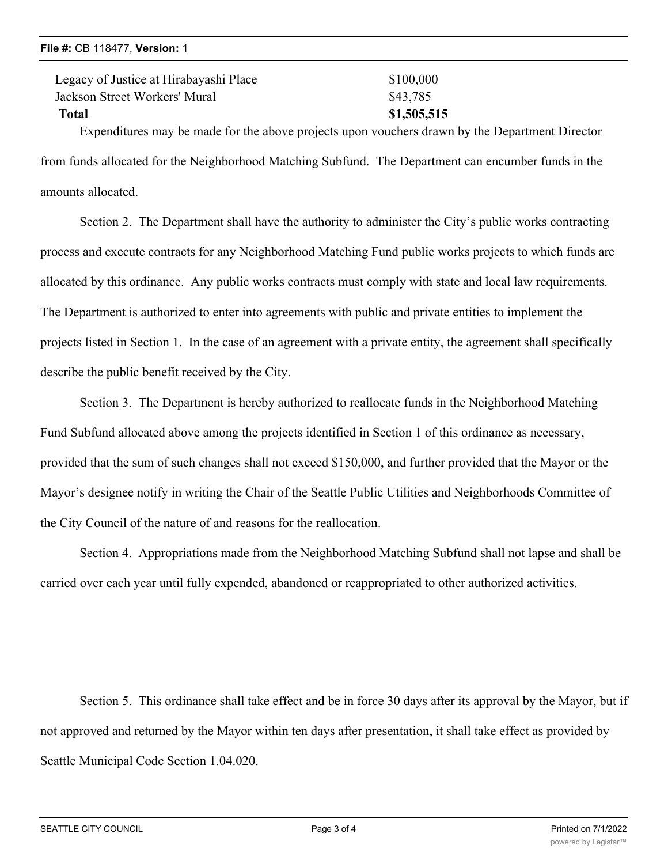<u>Redevelopment of the second control</u>

| Legacy of Justice at Hirabayashi Place                                | \$100,000   |
|-----------------------------------------------------------------------|-------------|
| Jackson Street Workers' Mural                                         | \$43,785    |
| Total                                                                 | \$1,505,515 |
| Expenditures may be made for the above projects upon vouchers drawn b |             |

y the Department Director from funds allocated for the Neighborhood Matching Subfund. The Department can encumber funds in the amounts allocated.

Section 2. The Department shall have the authority to administer the City's public works contracting process and execute contracts for any Neighborhood Matching Fund public works projects to which funds are allocated by this ordinance. Any public works contracts must comply with state and local law requirements. The Department is authorized to enter into agreements with public and private entities to implement the projects listed in Section 1. In the case of an agreement with a private entity, the agreement shall specifically describe the public benefit received by the City.

Section 3. The Department is hereby authorized to reallocate funds in the Neighborhood Matching Fund Subfund allocated above among the projects identified in Section 1 of this ordinance as necessary, provided that the sum of such changes shall not exceed \$150,000, and further provided that the Mayor or the Mayor's designee notify in writing the Chair of the Seattle Public Utilities and Neighborhoods Committee of the City Council of the nature of and reasons for the reallocation.

Section 4. Appropriations made from the Neighborhood Matching Subfund shall not lapse and shall be carried over each year until fully expended, abandoned or reappropriated to other authorized activities.

Section 5. This ordinance shall take effect and be in force 30 days after its approval by the Mayor, but if not approved and returned by the Mayor within ten days after presentation, it shall take effect as provided by Seattle Municipal Code Section 1.04.020.